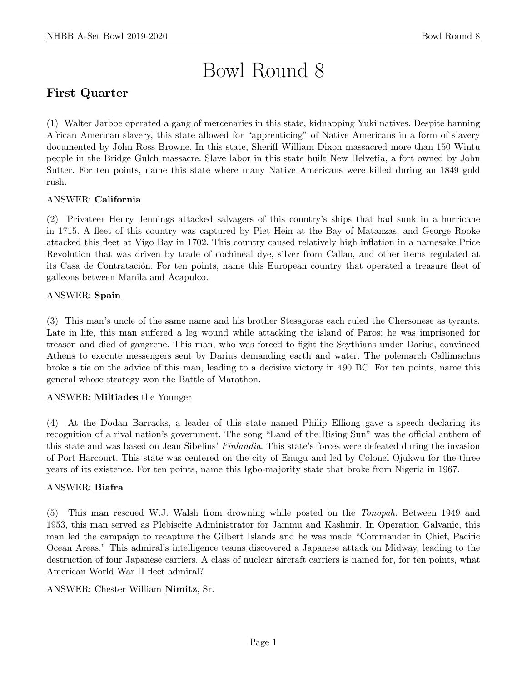# Bowl Round 8

# First Quarter

(1) Walter Jarboe operated a gang of mercenaries in this state, kidnapping Yuki natives. Despite banning African American slavery, this state allowed for "apprenticing" of Native Americans in a form of slavery documented by John Ross Browne. In this state, Sheriff William Dixon massacred more than 150 Wintu people in the Bridge Gulch massacre. Slave labor in this state built New Helvetia, a fort owned by John Sutter. For ten points, name this state where many Native Americans were killed during an 1849 gold rush.

# ANSWER: California

(2) Privateer Henry Jennings attacked salvagers of this country's ships that had sunk in a hurricane in 1715. A fleet of this country was captured by Piet Hein at the Bay of Matanzas, and George Rooke attacked this fleet at Vigo Bay in 1702. This country caused relatively high inflation in a namesake Price Revolution that was driven by trade of cochineal dye, silver from Callao, and other items regulated at its Casa de Contratación. For ten points, name this European country that operated a treasure fleet of galleons between Manila and Acapulco.

# ANSWER: Spain

(3) This man's uncle of the same name and his brother Stesagoras each ruled the Chersonese as tyrants. Late in life, this man suffered a leg wound while attacking the island of Paros; he was imprisoned for treason and died of gangrene. This man, who was forced to fight the Scythians under Darius, convinced Athens to execute messengers sent by Darius demanding earth and water. The polemarch Callimachus broke a tie on the advice of this man, leading to a decisive victory in 490 BC. For ten points, name this general whose strategy won the Battle of Marathon.

# ANSWER: Miltiades the Younger

(4) At the Dodan Barracks, a leader of this state named Philip Effiong gave a speech declaring its recognition of a rival nation's government. The song "Land of the Rising Sun" was the official anthem of this state and was based on Jean Sibelius' Finlandia. This state's forces were defeated during the invasion of Port Harcourt. This state was centered on the city of Enugu and led by Colonel Ojukwu for the three years of its existence. For ten points, name this Igbo-majority state that broke from Nigeria in 1967.

# ANSWER: Biafra

(5) This man rescued W.J. Walsh from drowning while posted on the Tonopah. Between 1949 and 1953, this man served as Plebiscite Administrator for Jammu and Kashmir. In Operation Galvanic, this man led the campaign to recapture the Gilbert Islands and he was made "Commander in Chief, Pacific Ocean Areas." This admiral's intelligence teams discovered a Japanese attack on Midway, leading to the destruction of four Japanese carriers. A class of nuclear aircraft carriers is named for, for ten points, what American World War II fleet admiral?

# ANSWER: Chester William Nimitz, Sr.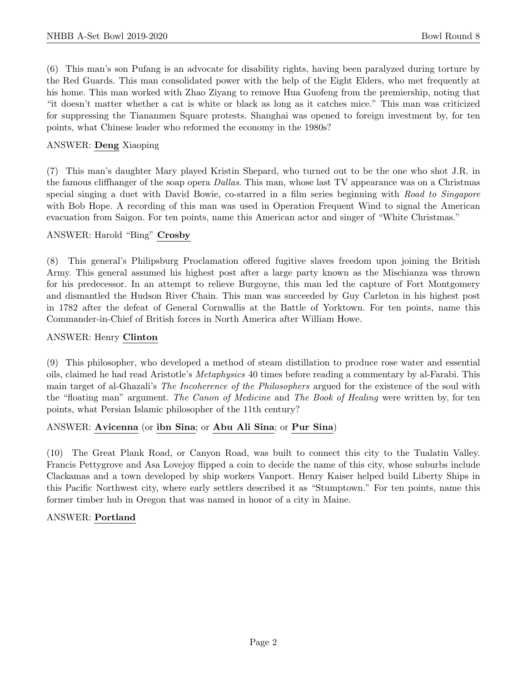(6) This man's son Pufang is an advocate for disability rights, having been paralyzed during torture by the Red Guards. This man consolidated power with the help of the Eight Elders, who met frequently at his home. This man worked with Zhao Ziyang to remove Hua Guofeng from the premiership, noting that "it doesn't matter whether a cat is white or black as long as it catches mice." This man was criticized for suppressing the Tiananmen Square protests. Shanghai was opened to foreign investment by, for ten points, what Chinese leader who reformed the economy in the 1980s?

# ANSWER: Deng Xiaoping

(7) This man's daughter Mary played Kristin Shepard, who turned out to be the one who shot J.R. in the famous cliffhanger of the soap opera Dallas. This man, whose last TV appearance was on a Christmas special singing a duet with David Bowie, co-starred in a film series beginning with Road to Singapore with Bob Hope. A recording of this man was used in Operation Frequent Wind to signal the American evacuation from Saigon. For ten points, name this American actor and singer of "White Christmas."

# ANSWER: Harold "Bing" Crosby

(8) This general's Philipsburg Proclamation offered fugitive slaves freedom upon joining the British Army. This general assumed his highest post after a large party known as the Mischianza was thrown for his predecessor. In an attempt to relieve Burgoyne, this man led the capture of Fort Montgomery and dismantled the Hudson River Chain. This man was succeeded by Guy Carleton in his highest post in 1782 after the defeat of General Cornwallis at the Battle of Yorktown. For ten points, name this Commander-in-Chief of British forces in North America after William Howe.

# ANSWER: Henry Clinton

(9) This philosopher, who developed a method of steam distillation to produce rose water and essential oils, claimed he had read Aristotle's Metaphysics 40 times before reading a commentary by al-Farabi. This main target of al-Ghazali's The Incoherence of the Philosophers argued for the existence of the soul with the "floating man" argument. The Canon of Medicine and The Book of Healing were written by, for ten points, what Persian Islamic philosopher of the 11th century?

# ANSWER: Avicenna (or ibn Sina; or Abu Ali Sina; or Pur Sina)

(10) The Great Plank Road, or Canyon Road, was built to connect this city to the Tualatin Valley. Francis Pettygrove and Asa Lovejoy flipped a coin to decide the name of this city, whose suburbs include Clackamas and a town developed by ship workers Vanport. Henry Kaiser helped build Liberty Ships in this Pacific Northwest city, where early settlers described it as "Stumptown." For ten points, name this former timber hub in Oregon that was named in honor of a city in Maine.

# ANSWER: Portland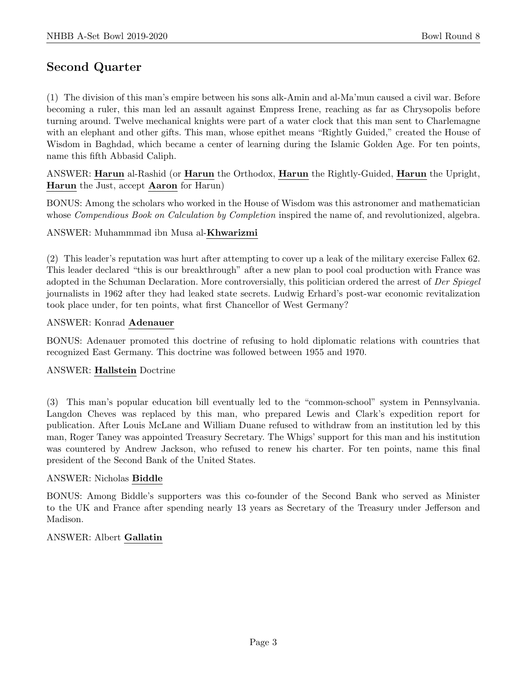# Second Quarter

(1) The division of this man's empire between his sons alk-Amin and al-Ma'mun caused a civil war. Before becoming a ruler, this man led an assault against Empress Irene, reaching as far as Chrysopolis before turning around. Twelve mechanical knights were part of a water clock that this man sent to Charlemagne with an elephant and other gifts. This man, whose epithet means "Rightly Guided," created the House of Wisdom in Baghdad, which became a center of learning during the Islamic Golden Age. For ten points, name this fifth Abbasid Caliph.

ANSWER: Harun al-Rashid (or Harun the Orthodox, Harun the Rightly-Guided, Harun the Upright, Harun the Just, accept Aaron for Harun)

BONUS: Among the scholars who worked in the House of Wisdom was this astronomer and mathematician whose *Compendious Book on Calculation by Completion* inspired the name of, and revolutionized, algebra.

### ANSWER: Muhammmad ibn Musa al-Khwarizmi

(2) This leader's reputation was hurt after attempting to cover up a leak of the military exercise Fallex 62. This leader declared "this is our breakthrough" after a new plan to pool coal production with France was adopted in the Schuman Declaration. More controversially, this politician ordered the arrest of Der Spiegel journalists in 1962 after they had leaked state secrets. Ludwig Erhard's post-war economic revitalization took place under, for ten points, what first Chancellor of West Germany?

### ANSWER: Konrad Adenauer

BONUS: Adenauer promoted this doctrine of refusing to hold diplomatic relations with countries that recognized East Germany. This doctrine was followed between 1955 and 1970.

### ANSWER: Hallstein Doctrine

(3) This man's popular education bill eventually led to the "common-school" system in Pennsylvania. Langdon Cheves was replaced by this man, who prepared Lewis and Clark's expedition report for publication. After Louis McLane and William Duane refused to withdraw from an institution led by this man, Roger Taney was appointed Treasury Secretary. The Whigs' support for this man and his institution was countered by Andrew Jackson, who refused to renew his charter. For ten points, name this final president of the Second Bank of the United States.

### ANSWER: Nicholas Biddle

BONUS: Among Biddle's supporters was this co-founder of the Second Bank who served as Minister to the UK and France after spending nearly 13 years as Secretary of the Treasury under Jefferson and Madison.

### ANSWER: Albert Gallatin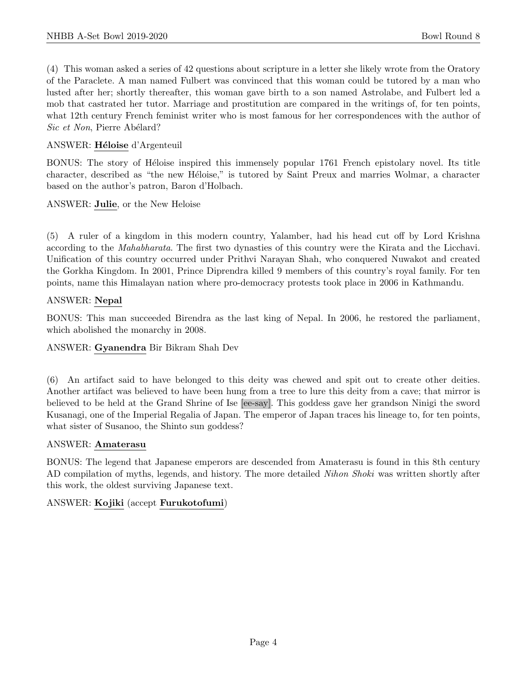(4) This woman asked a series of 42 questions about scripture in a letter she likely wrote from the Oratory of the Paraclete. A man named Fulbert was convinced that this woman could be tutored by a man who lusted after her; shortly thereafter, this woman gave birth to a son named Astrolabe, and Fulbert led a mob that castrated her tutor. Marriage and prostitution are compared in the writings of, for ten points, what 12th century French feminist writer who is most famous for her correspondences with the author of Sic et Non, Pierre Abélard?

# ANSWER: Héloise d'Argenteuil

BONUS: The story of Héloise inspired this immensely popular 1761 French epistolary novel. Its title character, described as "the new Héloise," is tutored by Saint Preux and marries Wolmar, a character based on the author's patron, Baron d'Holbach.

ANSWER: Julie, or the New Heloise

(5) A ruler of a kingdom in this modern country, Yalamber, had his head cut off by Lord Krishna according to the Mahabharata. The first two dynasties of this country were the Kirata and the Licchavi. Unification of this country occurred under Prithvi Narayan Shah, who conquered Nuwakot and created the Gorkha Kingdom. In 2001, Prince Diprendra killed 9 members of this country's royal family. For ten points, name this Himalayan nation where pro-democracy protests took place in 2006 in Kathmandu.

# ANSWER: Nepal

BONUS: This man succeeded Birendra as the last king of Nepal. In 2006, he restored the parliament, which abolished the monarchy in 2008.

# ANSWER: Gyanendra Bir Bikram Shah Dev

(6) An artifact said to have belonged to this deity was chewed and spit out to create other deities. Another artifact was believed to have been hung from a tree to lure this deity from a cave; that mirror is believed to be held at the Grand Shrine of Ise [ee-say]. This goddess gave her grandson Ninigi the sword Kusanagi, one of the Imperial Regalia of Japan. The emperor of Japan traces his lineage to, for ten points, what sister of Susanoo, the Shinto sun goddess?

### ANSWER: Amaterasu

BONUS: The legend that Japanese emperors are descended from Amaterasu is found in this 8th century AD compilation of myths, legends, and history. The more detailed Nihon Shoki was written shortly after this work, the oldest surviving Japanese text.

# ANSWER: Kojiki (accept Furukotofumi)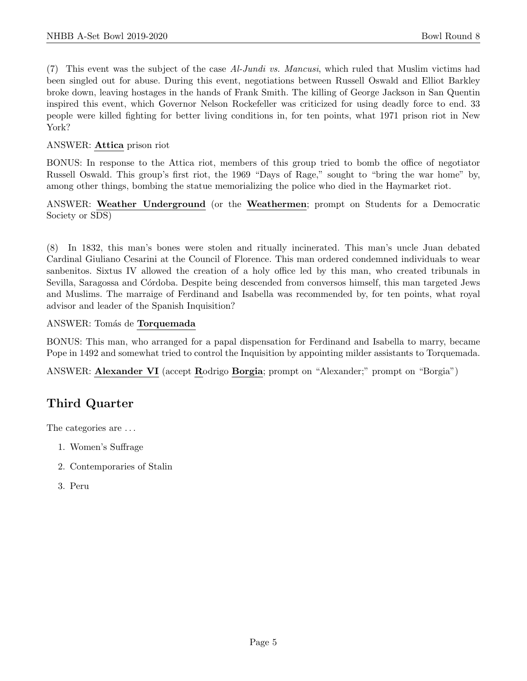(7) This event was the subject of the case Al-Jundi vs. Mancusi, which ruled that Muslim victims had been singled out for abuse. During this event, negotiations between Russell Oswald and Elliot Barkley broke down, leaving hostages in the hands of Frank Smith. The killing of George Jackson in San Quentin inspired this event, which Governor Nelson Rockefeller was criticized for using deadly force to end. 33 people were killed fighting for better living conditions in, for ten points, what 1971 prison riot in New York?

# ANSWER: Attica prison riot

BONUS: In response to the Attica riot, members of this group tried to bomb the office of negotiator Russell Oswald. This group's first riot, the 1969 "Days of Rage," sought to "bring the war home" by, among other things, bombing the statue memorializing the police who died in the Haymarket riot.

# ANSWER: Weather Underground (or the Weathermen; prompt on Students for a Democratic Society or SDS)

(8) In 1832, this man's bones were stolen and ritually incinerated. This man's uncle Juan debated Cardinal Giuliano Cesarini at the Council of Florence. This man ordered condemned individuals to wear sanbenitos. Sixtus IV allowed the creation of a holy office led by this man, who created tribunals in Sevilla, Saragossa and Córdoba. Despite being descended from conversos himself, this man targeted Jews and Muslims. The marraige of Ferdinand and Isabella was recommended by, for ten points, what royal advisor and leader of the Spanish Inquisition?

### ANSWER: Tomás de **Torquemada**

BONUS: This man, who arranged for a papal dispensation for Ferdinand and Isabella to marry, became Pope in 1492 and somewhat tried to control the Inquisition by appointing milder assistants to Torquemada.

ANSWER: Alexander VI (accept Rodrigo Borgia; prompt on "Alexander;" prompt on "Borgia")

# Third Quarter

The categories are  $\dots$ 

- 1. Women's Suffrage
- 2. Contemporaries of Stalin
- 3. Peru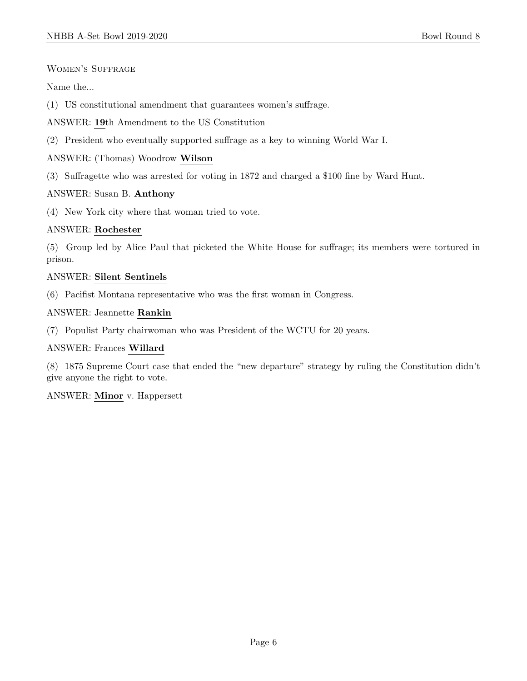### Women's Suffrage

Name the...

- (1) US constitutional amendment that guarantees women's suffrage.
- ANSWER: 19th Amendment to the US Constitution
- (2) President who eventually supported suffrage as a key to winning World War I.

### ANSWER: (Thomas) Woodrow Wilson

(3) Suffragette who was arrested for voting in 1872 and charged a \$100 fine by Ward Hunt.

### ANSWER: Susan B. Anthony

(4) New York city where that woman tried to vote.

### ANSWER: Rochester

(5) Group led by Alice Paul that picketed the White House for suffrage; its members were tortured in prison.

### ANSWER: Silent Sentinels

(6) Pacifist Montana representative who was the first woman in Congress.

### ANSWER: Jeannette Rankin

(7) Populist Party chairwoman who was President of the WCTU for 20 years.

### ANSWER: Frances Willard

(8) 1875 Supreme Court case that ended the "new departure" strategy by ruling the Constitution didn't give anyone the right to vote.

### ANSWER: Minor v. Happersett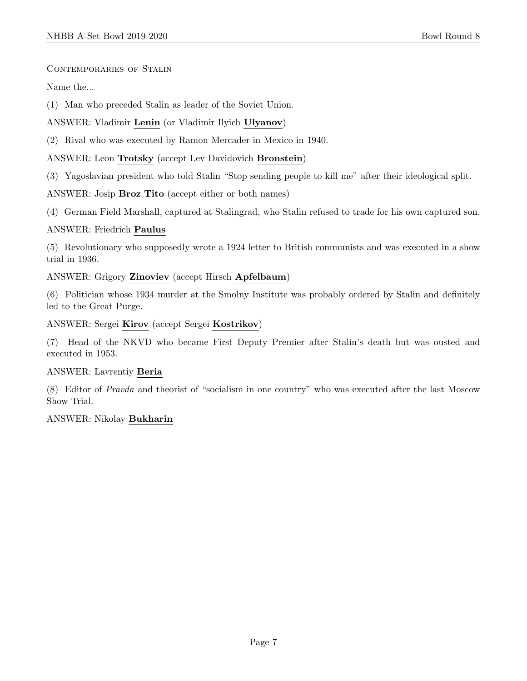Contemporaries of Stalin

Name the...

(1) Man who preceded Stalin as leader of the Soviet Union.

ANSWER: Vladimir Lenin (or Vladimir Ilyich Ulyanov)

(2) Rival who was executed by Ramon Mercader in Mexico in 1940.

ANSWER: Leon Trotsky (accept Lev Davidovich Bronstein)

(3) Yugoslavian president who told Stalin "Stop sending people to kill me" after their ideological split.

ANSWER: Josip Broz Tito (accept either or both names)

(4) German Field Marshall, captured at Stalingrad, who Stalin refused to trade for his own captured son.

### ANSWER: Friedrich Paulus

(5) Revolutionary who supposedly wrote a 1924 letter to British communists and was executed in a show trial in 1936.

ANSWER: Grigory Zinoviev (accept Hirsch Apfelbaum)

(6) Politician whose 1934 murder at the Smolny Institute was probably ordered by Stalin and definitely led to the Great Purge.

ANSWER: Sergei Kirov (accept Sergei Kostrikov)

(7) Head of the NKVD who became First Deputy Premier after Stalin's death but was ousted and executed in 1953.

### ANSWER: Lavrentiy Beria

(8) Editor of Pravda and theorist of "socialism in one country" who was executed after the last Moscow Show Trial.

### ANSWER: Nikolay Bukharin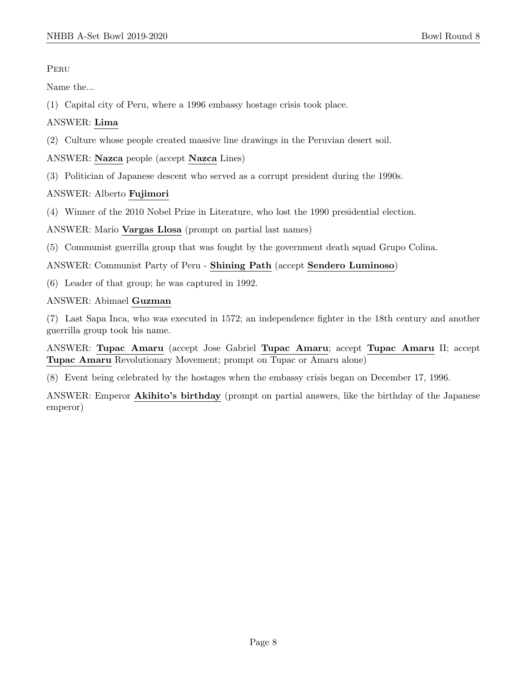**PERU** 

Name the...

(1) Capital city of Peru, where a 1996 embassy hostage crisis took place.

# ANSWER: Lima

(2) Culture whose people created massive line drawings in the Peruvian desert soil.

ANSWER: Nazca people (accept Nazca Lines)

(3) Politician of Japanese descent who served as a corrupt president during the 1990s.

# ANSWER: Alberto Fujimori

(4) Winner of the 2010 Nobel Prize in Literature, who lost the 1990 presidential election.

ANSWER: Mario Vargas Llosa (prompt on partial last names)

(5) Communist guerrilla group that was fought by the government death squad Grupo Colina.

ANSWER: Communist Party of Peru - Shining Path (accept Sendero Luminoso)

(6) Leader of that group; he was captured in 1992.

ANSWER: Abimael Guzman

(7) Last Sapa Inca, who was executed in 1572; an independence fighter in the 18th century and another guerrilla group took his name.

ANSWER: Tupac Amaru (accept Jose Gabriel Tupac Amaru; accept Tupac Amaru II; accept Tupac Amaru Revolutionary Movement; prompt on Tupac or Amaru alone)

(8) Event being celebrated by the hostages when the embassy crisis began on December 17, 1996.

ANSWER: Emperor Akihito's birthday (prompt on partial answers, like the birthday of the Japanese emperor)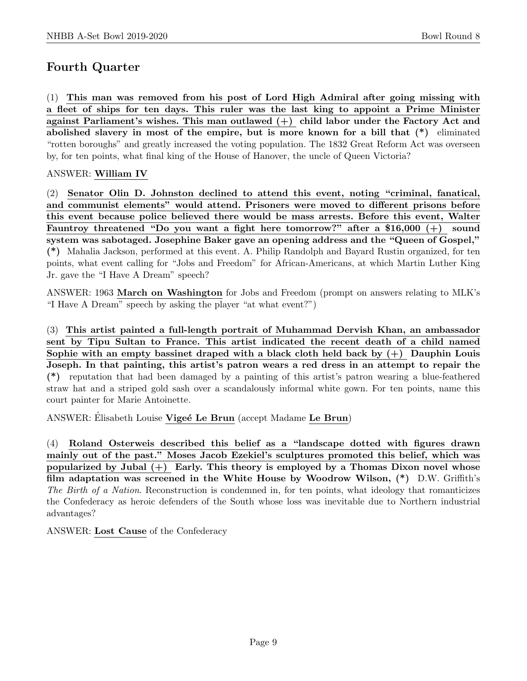# Fourth Quarter

(1) This man was removed from his post of Lord High Admiral after going missing with a fleet of ships for ten days. This ruler was the last king to appoint a Prime Minister against Parliament's wishes. This man outlawed  $(+)$  child labor under the Factory Act and abolished slavery in most of the empire, but is more known for a bill that (\*) eliminated "rotten boroughs" and greatly increased the voting population. The 1832 Great Reform Act was overseen by, for ten points, what final king of the House of Hanover, the uncle of Queen Victoria?

# ANSWER: William IV

(2) Senator Olin D. Johnston declined to attend this event, noting "criminal, fanatical, and communist elements" would attend. Prisoners were moved to different prisons before this event because police believed there would be mass arrests. Before this event, Walter Fauntroy threatened "Do you want a fight here tomorrow?" after a \$16,000 (+) sound system was sabotaged. Josephine Baker gave an opening address and the "Queen of Gospel," (\*) Mahalia Jackson, performed at this event. A. Philip Randolph and Bayard Rustin organized, for ten points, what event calling for "Jobs and Freedom" for African-Americans, at which Martin Luther King Jr. gave the "I Have A Dream" speech?

ANSWER: 1963 March on Washington for Jobs and Freedom (prompt on answers relating to MLK's "I Have A Dream" speech by asking the player "at what event?")

(3) This artist painted a full-length portrait of Muhammad Dervish Khan, an ambassador sent by Tipu Sultan to France. This artist indicated the recent death of a child named Sophie with an empty bassinet draped with a black cloth held back by  $(+)$  Dauphin Louis Joseph. In that painting, this artist's patron wears a red dress in an attempt to repair the (\*) reputation that had been damaged by a painting of this artist's patron wearing a blue-feathered straw hat and a striped gold sash over a scandalously informal white gown. For ten points, name this court painter for Marie Antoinette.

ANSWER: Elisabeth Louise Vigeé Le Brun (accept Madame Le Brun)

(4) Roland Osterweis described this belief as a "landscape dotted with figures drawn mainly out of the past." Moses Jacob Ezekiel's sculptures promoted this belief, which was popularized by Jubal  $(+)$  Early. This theory is employed by a Thomas Dixon novel whose film adaptation was screened in the White House by Woodrow Wilson,  $(*)$  D.W. Griffith's The Birth of a Nation. Reconstruction is condemned in, for ten points, what ideology that romanticizes the Confederacy as heroic defenders of the South whose loss was inevitable due to Northern industrial advantages?

ANSWER: Lost Cause of the Confederacy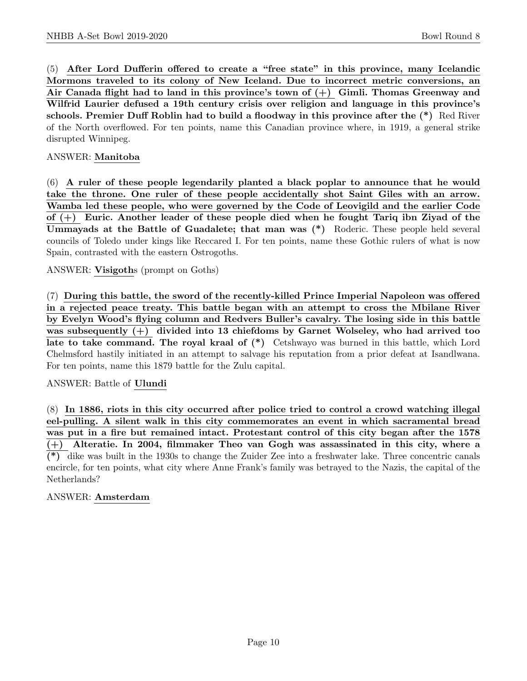(5) After Lord Dufferin offered to create a "free state" in this province, many Icelandic Mormons traveled to its colony of New Iceland. Due to incorrect metric conversions, an Air Canada flight had to land in this province's town of  $(+)$  Gimli. Thomas Greenway and Wilfrid Laurier defused a 19th century crisis over religion and language in this province's schools. Premier Duff Roblin had to build a floodway in this province after the (\*) Red River of the North overflowed. For ten points, name this Canadian province where, in 1919, a general strike disrupted Winnipeg.

# ANSWER: Manitoba

(6) A ruler of these people legendarily planted a black poplar to announce that he would take the throne. One ruler of these people accidentally shot Saint Giles with an arrow. Wamba led these people, who were governed by the Code of Leovigild and the earlier Code of (+) Euric. Another leader of these people died when he fought Tariq ibn Ziyad of the Ummayads at the Battle of Guadalete; that man was (\*) Roderic. These people held several councils of Toledo under kings like Reccared I. For ten points, name these Gothic rulers of what is now Spain, contrasted with the eastern Ostrogoths.

# ANSWER: Visigoths (prompt on Goths)

(7) During this battle, the sword of the recently-killed Prince Imperial Napoleon was offered in a rejected peace treaty. This battle began with an attempt to cross the Mbilane River by Evelyn Wood's flying column and Redvers Buller's cavalry. The losing side in this battle was subsequently (+) divided into 13 chiefdoms by Garnet Wolseley, who had arrived too late to take command. The royal kraal of  $(*)$  Cetshwayo was burned in this battle, which Lord Chelmsford hastily initiated in an attempt to salvage his reputation from a prior defeat at Isandlwana. For ten points, name this 1879 battle for the Zulu capital.

# ANSWER: Battle of Ulundi

(8) In 1886, riots in this city occurred after police tried to control a crowd watching illegal eel-pulling. A silent walk in this city commemorates an event in which sacramental bread was put in a fire but remained intact. Protestant control of this city began after the 1578 (+) Alteratie. In 2004, filmmaker Theo van Gogh was assassinated in this city, where a (\*) dike was built in the 1930s to change the Zuider Zee into a freshwater lake. Three concentric canals encircle, for ten points, what city where Anne Frank's family was betrayed to the Nazis, the capital of the Netherlands?

# ANSWER: Amsterdam